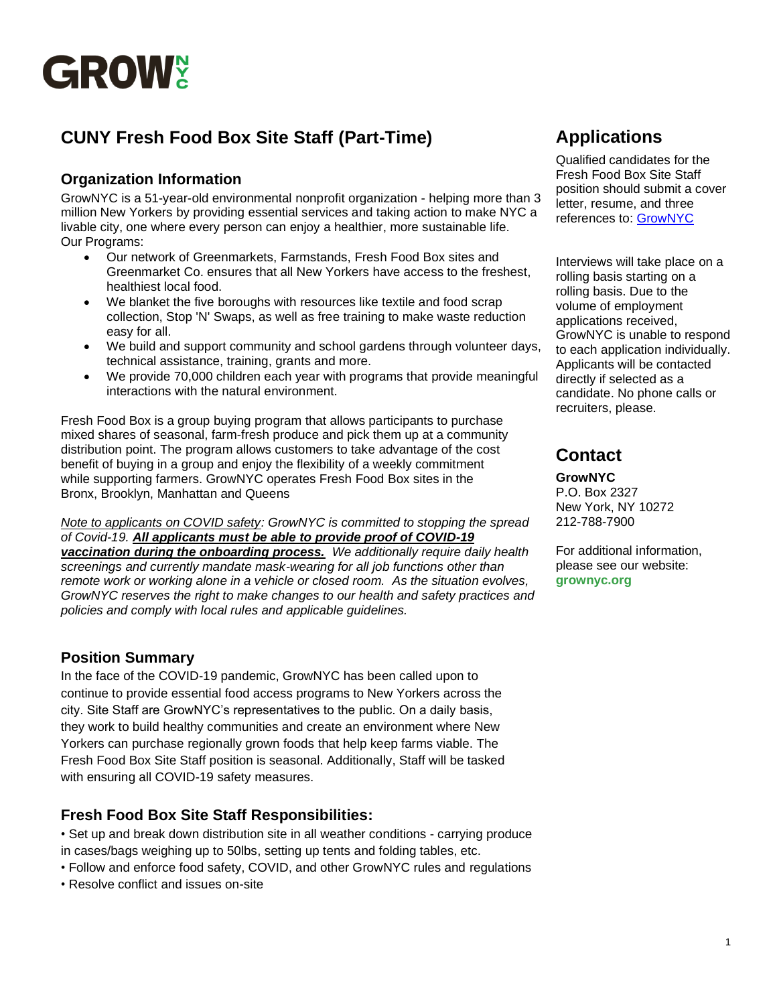

# **CUNY Fresh Food Box Site Staff (Part-Time)**

### **Organization Information**

GrowNYC is a 51-year-old environmental nonprofit organization - helping more than 3 million New Yorkers by providing essential services and taking action to make NYC a livable city, one where every person can enjoy a healthier, more sustainable life. Our Programs:

- Our network of Greenmarkets, Farmstands, Fresh Food Box sites and Greenmarket Co. ensures that all New Yorkers have access to the freshest, healthiest local food.
- We blanket the five boroughs with resources like textile and food scrap collection, Stop 'N' Swaps, as well as free training to make waste reduction easy for all.
- We build and support community and school gardens through volunteer days, technical assistance, training, grants and more.
- We provide 70,000 children each year with programs that provide meaningful interactions with the natural environment.

Fresh Food Box is a group buying program that allows participants to purchase mixed shares of seasonal, farm-fresh produce and pick them up at a community distribution point. The program allows customers to take advantage of the cost benefit of buying in a group and enjoy the flexibility of a weekly commitment while supporting farmers. GrowNYC operates Fresh Food Box sites in the Bronx, Brooklyn, Manhattan and Queens

*Note to applicants on COVID safety: GrowNYC is committed to stopping the spread of Covid-19. All applicants must be able to provide proof of COVID-19* 

*vaccination during the onboarding process. We additionally require daily health screenings and currently mandate mask-wearing for all job functions other than remote work or working alone in a vehicle or closed room. As the situation evolves, GrowNYC reserves the right to make changes to our health and safety practices and policies and comply with local rules and applicable guidelines.*

### **Position Summary**

In the face of the COVID-19 pandemic, GrowNYC has been called upon to continue to provide essential food access programs to New Yorkers across the city. Site Staff are GrowNYC's representatives to the public. On a daily basis, they work to build healthy communities and create an environment where New Yorkers can purchase regionally grown foods that help keep farms viable. The Fresh Food Box Site Staff position is seasonal. Additionally, Staff will be tasked with ensuring all COVID-19 safety measures.

### **Fresh Food Box Site Staff Responsibilities:**

• Set up and break down distribution site in all weather conditions - carrying produce in cases/bags weighing up to 50lbs, setting up tents and folding tables, etc.

- Follow and enforce food safety, COVID, and other GrowNYC rules and regulations
- Resolve conflict and issues on-site

## **Applications**

Qualified candidates for the Fresh Food Box Site Staff position should submit a cover letter, resume, and three references to: [GrowNYC](https://recruiting.paylocity.com/recruiting/jobs/All/b5f607fc-8a87-4bc1-9700-014a053db58f/GrowNYC)

Interviews will take place on a rolling basis starting on a rolling basis. Due to the volume of employment applications received, GrowNYC is unable to respond to each application individually. Applicants will be contacted directly if selected as a candidate. No phone calls or recruiters, please.

## **Contact**

**GrowNYC**  P.O. Box 2327 New York, NY 10272 212-788-7900

For additional information, please see our website: **grownyc.org**